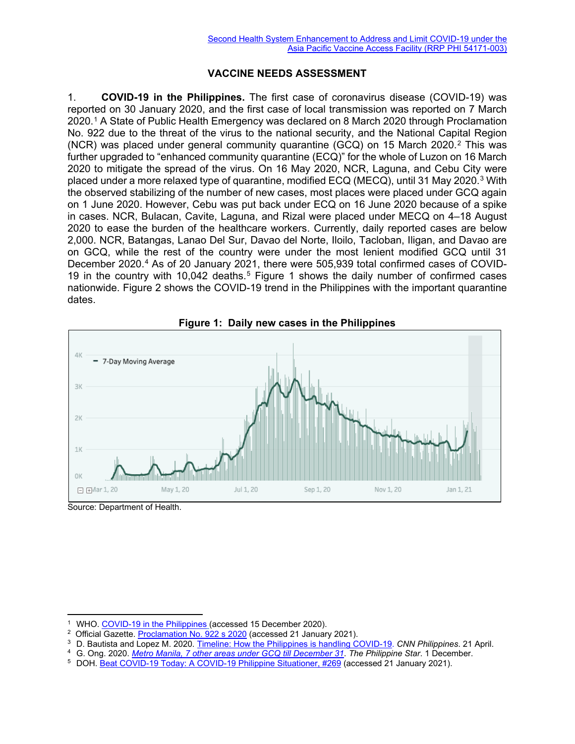## **VACCINE NEEDS ASSESSMENT**

1. **COVID-19 in the Philippines.** The first case of coronavirus disease (COVID-19) was reported on 30 January 2020, and the first case of local transmission was reported on 7 March 2020.[1](#page-0-0) A State of Public Health Emergency was declared on 8 March 2020 through Proclamation No. 922 due to the threat of the virus to the national security, and the National Capital Region (NCR) was placed under general community quarantine (GCQ) on 15 March 2020.[2](#page-0-1) This was further upgraded to "enhanced community quarantine (ECQ)" for the whole of Luzon on 16 March 2020 to mitigate the spread of the virus. On 16 May 2020, NCR, Laguna, and Cebu City were placed under a more relaxed type of quarantine, modified ECQ (MECQ), until [3](#page-0-2)1 May 2020.<sup>3</sup> With the observed stabilizing of the number of new cases, most places were placed under GCQ again on 1 June 2020. However, Cebu was put back under ECQ on 16 June 2020 because of a spike in cases. NCR, Bulacan, Cavite, Laguna, and Rizal were placed under MECQ on 4–18 August 2020 to ease the burden of the healthcare workers. Currently, daily reported cases are below 2,000. NCR, Batangas, Lanao Del Sur, Davao del Norte, Iloilo, Tacloban, Iligan, and Davao are on GCQ, while the rest of the country were under the most lenient modified GCQ until 31 December 2020.<sup>[4](#page-0-3)</sup> As of 20 January 2021, there were 505,939 total confirmed cases of COVID-19 in the country with 10,042 deaths.<sup>[5](#page-0-4)</sup> Figure 1 shows the daily number of confirmed cases nationwide. Figure 2 shows the COVID-19 trend in the Philippines with the important quarantine dates.



**Figure 1: Daily new cases in the Philippines**

Source: Department of Health.

<sup>&</sup>lt;sup>1</sup> WHO. [COVID-19 in the Philippines](https://www.who.int/philippines/emergencies/covid-19-in-the-philippines) (accessed 15 December 2020).

<span id="page-0-2"></span><span id="page-0-1"></span><span id="page-0-0"></span><sup>&</sup>lt;sup>2</sup> Official Gazette. [Proclamation No. 922 s 2020](https://www.officialgazette.gov.ph/2020/03/08/proclamation-no-922-s-2020/) (accessed 21 January 2021).

<sup>3</sup> D. Bautista and Lopez M. 2020. [Timeline: How the Philippines is handling COVID-19.](https://cnnphilippines.com/news/2020/4/21/interactive-timeline-PH-handling-COVID-19.html?fbclid=IwAR3oH2HZ138-xHJc3W4dcOwGhfD8gcDnQGxLti-Nqb2-Ka2-e2g_LACqDvk) *CNN Philippines*. 21 April.

<span id="page-0-3"></span><sup>4</sup> G. Ong. 2020. *[Metro Manila, 7 other areas under GCQ till December 31](https://www.philstar.com/headlines/2020/12/01/2060588/metro-manila-7-other-areas-under-gcq-till-december-31)*. *The Philippine Star*. 1 December.

<span id="page-0-4"></span><sup>&</sup>lt;sup>5</sup> DOH. **Beat COVID-19 Today: A COVID-19 Philippine Situationer, #269 (accessed 21 January 2021).**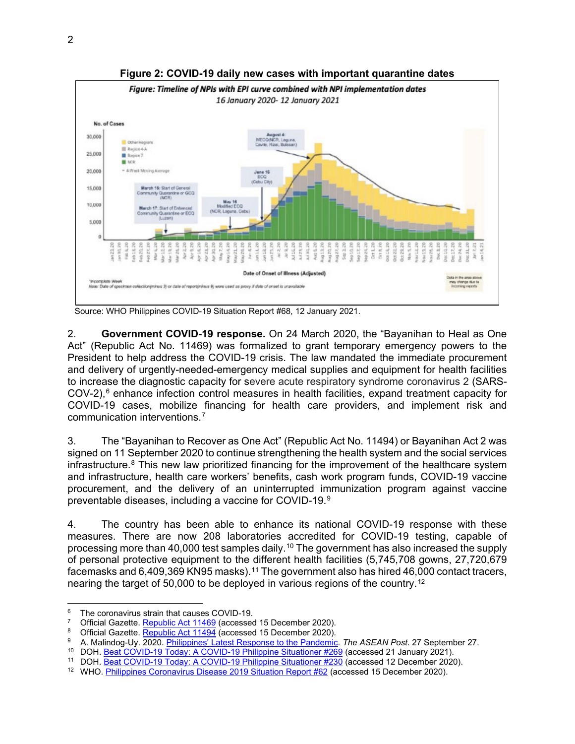

**Figure 2: COVID-19 daily new cases with important quarantine dates**

2. **Government COVID-19 response.** On 24 March 2020, the "Bayanihan to Heal as One Act" (Republic Act No. 11469) was formalized to grant temporary emergency powers to the President to help address the COVID-19 crisis. The law mandated the immediate procurement and delivery of urgently-needed-emergency medical supplies and equipment for health facilities to increase the diagnostic capacity for severe acute respiratory syndrome coronavirus 2 (SARS- $COV-2$ ), $<sup>6</sup>$  $<sup>6</sup>$  $<sup>6</sup>$  enhance infection control measures in health facilities, expand treatment capacity for</sup> COVID-19 cases, mobilize financing for health care providers, and implement risk and communication interventions.[7](#page-1-1)

3. The "Bayanihan to Recover as One Act" (Republic Act No. 11494) or Bayanihan Act 2 was signed on 11 September 2020 to continue strengthening the health system and the social services infrastructure.<sup>[8](#page-1-2)</sup> This new law prioritized financing for the improvement of the healthcare system and infrastructure, health care workers' benefits, cash work program funds, COVID-19 vaccine procurement, and the delivery of an uninterrupted immunization program against vaccine preventable diseases, including a vaccine for COVID-19.[9](#page-1-3)

4. The country has been able to enhance its national COVID-19 response with these measures. There are now 208 laboratories accredited for COVID-19 testing, capable of processing more than 40,000 test samples daily.<sup>[10](#page-1-4)</sup> The government has also increased the supply of personal protective equipment to the different health facilities (5,745,708 gowns, 27,720,679 facemasks and 6,409,369 KN95 masks).<sup>[11](#page-1-5)</sup> The government also has hired 46,000 contact tracers, nearing the target of 50,000 to be deployed in various regions of the country.[12](#page-1-6)

Source: WHO Philippines COVID-19 Situation Report #68, 12 January 2021.

<span id="page-1-0"></span><sup>&</sup>lt;sup>6</sup> The coronavirus strain that causes COVID-19.<br><sup>7</sup> Official Gazette. Republic Act 11469 (accessed 15 December 2020).

<span id="page-1-3"></span><span id="page-1-2"></span><span id="page-1-1"></span><sup>&</sup>lt;sup>8</sup> Official Gazette. *Republic Act 11494* (accessed 15 December 2020).<br><sup>9</sup> A. Malindog-Uy. 2020. <u>Philippines' Latest Response to the Pandemic</u>. *The ASEAN Post*. 27 September 27.

<span id="page-1-5"></span><span id="page-1-4"></span><sup>&</sup>lt;sup>10</sup> DOH. [Beat COVID-19 Today: A COVID-19 Philippine Situationer](https://drive.google.com/drive/folders/1Wxf8TbpSuWrGBOYitZCyFaG_NmdCooCa) #269 (accessed 21 January 2021).<br><sup>11</sup> DOH. <u>Beat COVID-19 Today: A COVID-19 Philippine Situationer #230</u> (accessed 12 December 2020).

<span id="page-1-6"></span><sup>&</sup>lt;sup>12</sup> WHO. Philippines Coronavirus Disease 2019 Situation Report #62 (accessed 15 December 2020).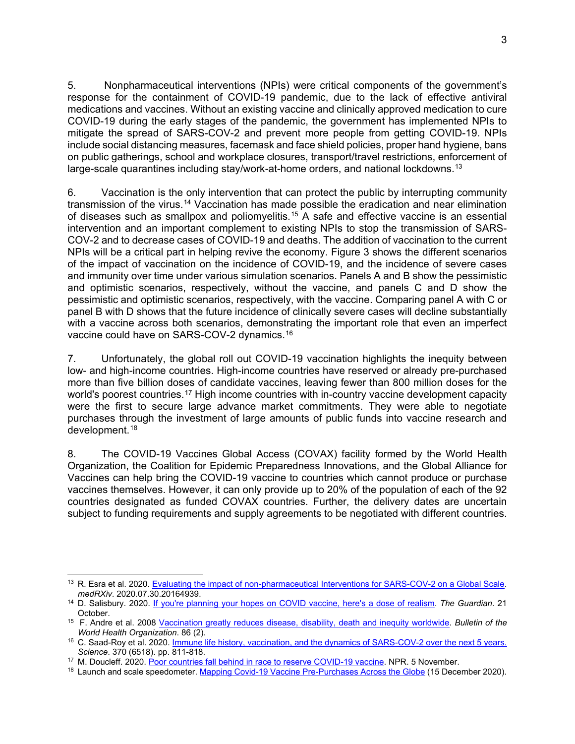5. Nonpharmaceutical interventions (NPIs) were critical components of the government's response for the containment of COVID-19 pandemic, due to the lack of effective antiviral medications and vaccines. Without an existing vaccine and clinically approved medication to cure COVID-19 during the early stages of the pandemic, the government has implemented NPIs to mitigate the spread of SARS-COV-2 and prevent more people from getting COVID-19. NPIs include social distancing measures, facemask and face shield policies, proper hand hygiene, bans on public gatherings, school and workplace closures, transport/travel restrictions, enforcement of large-scale quarantines including stay/work-at-home orders, and national lockdowns.<sup>[13](#page-2-0)</sup>

6. Vaccination is the only intervention that can protect the public by interrupting community transmission of the virus.[14](#page-2-1) Vaccination has made possible the eradication and near elimination of diseases such as smallpox and poliomyelitis.[15](#page-2-2) A safe and effective vaccine is an essential intervention and an important complement to existing NPIs to stop the transmission of SARS-COV-2 and to decrease cases of COVID-19 and deaths. The addition of vaccination to the current NPIs will be a critical part in helping revive the economy. Figure 3 shows the different scenarios of the impact of vaccination on the incidence of COVID-19, and the incidence of severe cases and immunity over time under various simulation scenarios. Panels A and B show the pessimistic and optimistic scenarios, respectively, without the vaccine, and panels C and D show the pessimistic and optimistic scenarios, respectively, with the vaccine. Comparing panel A with C or panel B with D shows that the future incidence of clinically severe cases will decline substantially with a vaccine across both scenarios, demonstrating the important role that even an imperfect vaccine could have on SARS-COV-2 dynamics.[16](#page-2-3)

7. Unfortunately, the global roll out COVID-19 vaccination highlights the inequity between low- and high-income countries. High-income countries have reserved or already pre-purchased more than five billion doses of candidate vaccines, leaving fewer than 800 million doses for the world's poorest countries.<sup>[17](#page-2-4)</sup> High income countries with in-country vaccine development capacity were the first to secure large advance market commitments. They were able to negotiate purchases through the investment of large amounts of public funds into vaccine research and development.[18](#page-2-5)

8. The COVID-19 Vaccines Global Access (COVAX) facility formed by the World Health Organization, the Coalition for Epidemic Preparedness Innovations, and the Global Alliance for Vaccines can help bring the COVID-19 vaccine to countries which cannot produce or purchase vaccines themselves. However, it can only provide up to 20% of the population of each of the 92 countries designated as funded COVAX countries. Further, the delivery dates are uncertain subject to funding requirements and supply agreements to be negotiated with different countries.

<span id="page-2-0"></span><sup>&</sup>lt;sup>13</sup> R. Esra et al. 2020. [Evaluating the impact of non-pharmaceutical Interventions for SARS-COV-2 on a Global Scale.](https://www.medrxiv.org/content/10.1101/2020.07.30.20164939v1) *medRXiv*. 2020.07.30.20164939.

<span id="page-2-1"></span><sup>14</sup> D. Salisbury. 2020. [If you're planning your hopes on COVID vaccine, here's a dose of realism.](https://www.theguardian.com/commentisfree/2020/oct/21/covid-vaccine-immunisation-protection) *The Guardian*. 21 October.

<span id="page-2-2"></span><sup>15</sup> F. Andre et al. 2008 [Vaccination greatly reduces disease, disability, death and inequity worldwide.](https://apps.who.int/iris/bitstream/handle/10665/270129/PMC2647387.pdf?sequence=1&isAllowed=y) *Bulletin of the World Health Organization*. 86 (2).

<span id="page-2-3"></span><sup>16</sup> C. Saad-Roy et al. 2020. [Immune life history, vaccination, and the dynamics of SARS-COV-2 over the next 5 years.](https://science.sciencemag.org/content/370/6518/811/tab-figures-data) *Science*. 370 (6518). pp. 811-818. 17 M. Doucleff. 2020. [Poor countries fall behind in race to reserve COVID-19 vaccine.](https://www.npr.org/sections/goatsandsoda/2020/11/05/931397094/poor-countries-fall-behind-in-race-to-reserve-covid-19-vaccine) NPR. 5 November.

<span id="page-2-5"></span><span id="page-2-4"></span><sup>&</sup>lt;sup>18</sup> Launch and scale speedometer. [Mapping Covid-19 Vaccine Pre-Purchases Across the Globe](https://launchandscalefaster.org/COVID-19#Interactive%20tables%20and%20charts%20-%20COVID-19%20Vaccine%20Advance%20Market%20Commitments) (15 December 2020).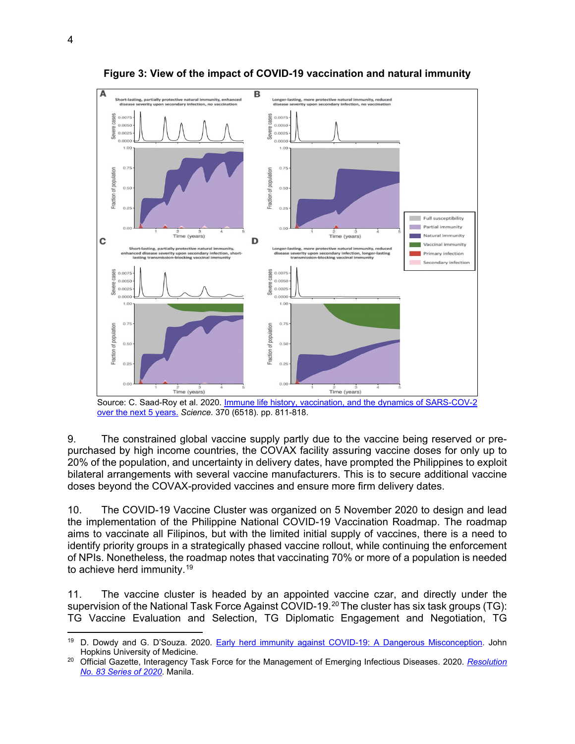

**Figure 3: View of the impact of COVID-19 vaccination and natural immunity**

Source: C. Saad-Roy et al. 2020. **Immune life history, vaccination, and the dynamics of SARS-COV-2** [over the next 5 years.](https://science.sciencemag.org/content/370/6518/811/tab-figures-data) *Science*. 370 (6518). pp. 811-818.

9. The constrained global vaccine supply partly due to the vaccine being reserved or prepurchased by high income countries, the COVAX facility assuring vaccine doses for only up to 20% of the population, and uncertainty in delivery dates, have prompted the Philippines to exploit bilateral arrangements with several vaccine manufacturers. This is to secure additional vaccine doses beyond the COVAX-provided vaccines and ensure more firm delivery dates.

10. The COVID-19 Vaccine Cluster was organized on 5 November 2020 to design and lead the implementation of the Philippine National COVID-19 Vaccination Roadmap. The roadmap aims to vaccinate all Filipinos, but with the limited initial supply of vaccines, there is a need to identify priority groups in a strategically phased vaccine rollout, while continuing the enforcement of NPIs. Nonetheless, the roadmap notes that vaccinating 70% or more of a population is needed to achieve herd immunity.[19](#page-3-0)

11. The vaccine cluster is headed by an appointed vaccine czar, and directly under the supervision of the National Task Force Against COVID-19.<sup>[20](#page-3-1)</sup> The cluster has six task groups (TG): TG Vaccine Evaluation and Selection, TG Diplomatic Engagement and Negotiation, TG

<span id="page-3-0"></span><sup>&</sup>lt;sup>19</sup> D. Dowdy and G. D'Souza. 2020. [Early herd immunity against COVID-19: A Dangerous Misconception.](https://coronavirus.jhu.edu/from-our-experts/early-herd-immunity-against-covid-19-a-dangerous-misconception) John Hopkins University of Medicine.

<span id="page-3-1"></span><sup>20</sup> Official Gazette, Interagency Task Force for the Management of Emerging Infectious Diseases. 2020. *[Resolution](https://www.officialgazette.gov.ph/downloads/2020/11nov/20201105-IATF%20Resolution-No.-83.pdf)  [No. 83 Series of 2020](https://www.officialgazette.gov.ph/downloads/2020/11nov/20201105-IATF%20Resolution-No.-83.pdf)*. Manila.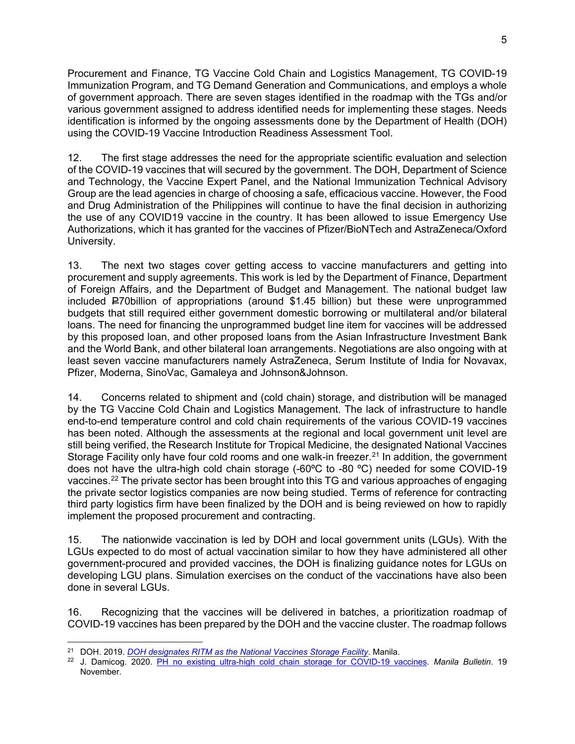Procurement and Finance, TG Vaccine Cold Chain and Logistics Management, TG COVID-19 Immunization Program, and TG Demand Generation and Communications, and employs a whole of government approach. There are seven stages identified in the roadmap with the TGs and/or various government assigned to address identified needs for implementing these stages. Needs identification is informed by the ongoing assessments done by the Department of Health (DOH) using the COVID-19 Vaccine Introduction Readiness Assessment Tool.

12. The first stage addresses the need for the appropriate scientific evaluation and selection of the COVID-19 vaccines that will secured by the government. The DOH, Department of Science and Technology, the Vaccine Expert Panel, and the National Immunization Technical Advisory Group are the lead agencies in charge of choosing a safe, efficacious vaccine. However, the Food and Drug Administration of the Philippines will continue to have the final decision in authorizing the use of any COVID19 vaccine in the country. It has been allowed to issue Emergency Use Authorizations, which it has granted for the vaccines of Pfizer/BioNTech and AstraZeneca/Oxford University.

13. The next two stages cover getting access to vaccine manufacturers and getting into procurement and supply agreements. This work is led by the Department of Finance, Department of Foreign Affairs, and the Department of Budget and Management. The national budget law included P70billion of appropriations (around \$1.45 billion) but these were unprogrammed budgets that still required either government domestic borrowing or multilateral and/or bilateral loans. The need for financing the unprogrammed budget line item for vaccines will be addressed by this proposed loan, and other proposed loans from the Asian Infrastructure Investment Bank and the World Bank, and other bilateral loan arrangements. Negotiations are also ongoing with at least seven vaccine manufacturers namely AstraZeneca, Serum Institute of India for Novavax, Pfizer, Moderna, SinoVac, Gamaleya and Johnson&Johnson.

14. Concerns related to shipment and (cold chain) storage, and distribution will be managed by the TG Vaccine Cold Chain and Logistics Management. The lack of infrastructure to handle end-to-end temperature control and cold chain requirements of the various COVID-19 vaccines has been noted. Although the assessments at the regional and local government unit level are still being verified, the Research Institute for Tropical Medicine, the designated National Vaccines Storage Facility only have four cold rooms and one walk-in freezer.<sup>[21](#page-4-0)</sup> In addition, the government does not have the ultra-high cold chain storage (-60ºC to -80 ºC) needed for some COVID-19 vaccines.[22](#page-4-1) The private sector has been brought into this TG and various approaches of engaging the private sector logistics companies are now being studied. Terms of reference for contracting third party logistics firm have been finalized by the DOH and is being reviewed on how to rapidly implement the proposed procurement and contracting.

15. The nationwide vaccination is led by DOH and local government units (LGUs). With the LGUs expected to do most of actual vaccination similar to how they have administered all other government-procured and provided vaccines, the DOH is finalizing guidance notes for LGUs on developing LGU plans. Simulation exercises on the conduct of the vaccinations have also been done in several LGUs.

16. Recognizing that the vaccines will be delivered in batches, a prioritization roadmap of COVID-19 vaccines has been prepared by the DOH and the vaccine cluster. The roadmap follows

<span id="page-4-0"></span><sup>21</sup> DOH. 2019. *[DOH designates RITM as the National Vaccines Storage Facility](http://ritm.gov.ph/doh-designates-ritm-as-the-national-vaccines-storage-facility/)*. Manila.

<span id="page-4-1"></span><sup>22</sup> J. Damicog. 2020. [PH no existing ultra-high cold chain storage for COVID-19 vaccines.](https://mb.com.ph/2020/11/19/ph-no-existing-ultra-high-cold-chain-storage-for-covid-19-vaccines/) *Manila Bulletin*. 19 November.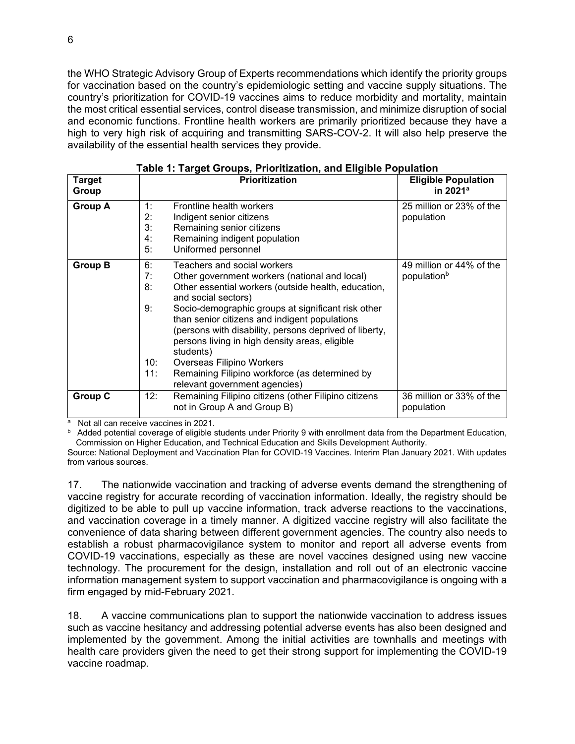the WHO Strategic Advisory Group of Experts recommendations which identify the priority groups for vaccination based on the country's epidemiologic setting and vaccine supply situations. The country's prioritization for COVID-19 vaccines aims to reduce morbidity and mortality, maintain the most critical essential services, control disease transmission, and minimize disruption of social and economic functions. Frontline health workers are primarily prioritized because they have a high to very high risk of acquiring and transmitting SARS-COV-2. It will also help preserve the availability of the essential health services they provide.

|                        | go . o. .<br>                                                                                                                                                                                                                                                                                                                                                                                                                                                                                                                                    |                                                     |  |  |  |  |  |  |
|------------------------|--------------------------------------------------------------------------------------------------------------------------------------------------------------------------------------------------------------------------------------------------------------------------------------------------------------------------------------------------------------------------------------------------------------------------------------------------------------------------------------------------------------------------------------------------|-----------------------------------------------------|--|--|--|--|--|--|
| <b>Target</b><br>Group | <b>Prioritization</b>                                                                                                                                                                                                                                                                                                                                                                                                                                                                                                                            | <b>Eligible Population</b><br>in 2021 <sup>a</sup>  |  |  |  |  |  |  |
| <b>Group A</b>         | 1:<br>Frontline health workers<br>2:<br>Indigent senior citizens<br>3:<br>Remaining senior citizens<br>Remaining indigent population<br>4:<br>Uniformed personnel<br>5:                                                                                                                                                                                                                                                                                                                                                                          | 25 million or 23% of the<br>population              |  |  |  |  |  |  |
| <b>Group B</b>         | 6:<br>Teachers and social workers<br>7:<br>Other government workers (national and local)<br>8:<br>Other essential workers (outside health, education,<br>and social sectors)<br>Socio-demographic groups at significant risk other<br>9:<br>than senior citizens and indigent populations<br>(persons with disability, persons deprived of liberty,<br>persons living in high density areas, eligible<br>students)<br>10:<br>Overseas Filipino Workers<br>11:<br>Remaining Filipino workforce (as determined by<br>relevant government agencies) | 49 million or 44% of the<br>population <sup>b</sup> |  |  |  |  |  |  |
| <b>Group C</b>         | 12:<br>Remaining Filipino citizens (other Filipino citizens<br>not in Group A and Group B)                                                                                                                                                                                                                                                                                                                                                                                                                                                       | 36 million or 33% of the<br>population              |  |  |  |  |  |  |

|  |  |  |  | Table 1: Target Groups, Prioritization, and Eligible Population |  |  |  |
|--|--|--|--|-----------------------------------------------------------------|--|--|--|
|--|--|--|--|-----------------------------------------------------------------|--|--|--|

a Not all can receive vaccines in 2021.

**b** Added potential coverage of eligible students under Priority 9 with enrollment data from the Department Education, Commission on Higher Education, and Technical Education and Skills Development Authority.

Source: National Deployment and Vaccination Plan for COVID-19 Vaccines. Interim Plan January 2021. With updates from various sources.

17. The nationwide vaccination and tracking of adverse events demand the strengthening of vaccine registry for accurate recording of vaccination information. Ideally, the registry should be digitized to be able to pull up vaccine information, track adverse reactions to the vaccinations, and vaccination coverage in a timely manner. A digitized vaccine registry will also facilitate the convenience of data sharing between different government agencies. The country also needs to establish a robust pharmacovigilance system to monitor and report all adverse events from COVID-19 vaccinations, especially as these are novel vaccines designed using new vaccine technology. The procurement for the design, installation and roll out of an electronic vaccine information management system to support vaccination and pharmacovigilance is ongoing with a firm engaged by mid-February 2021.

18. A vaccine communications plan to support the nationwide vaccination to address issues such as vaccine hesitancy and addressing potential adverse events has also been designed and implemented by the government. Among the initial activities are townhalls and meetings with health care providers given the need to get their strong support for implementing the COVID-19 vaccine roadmap.